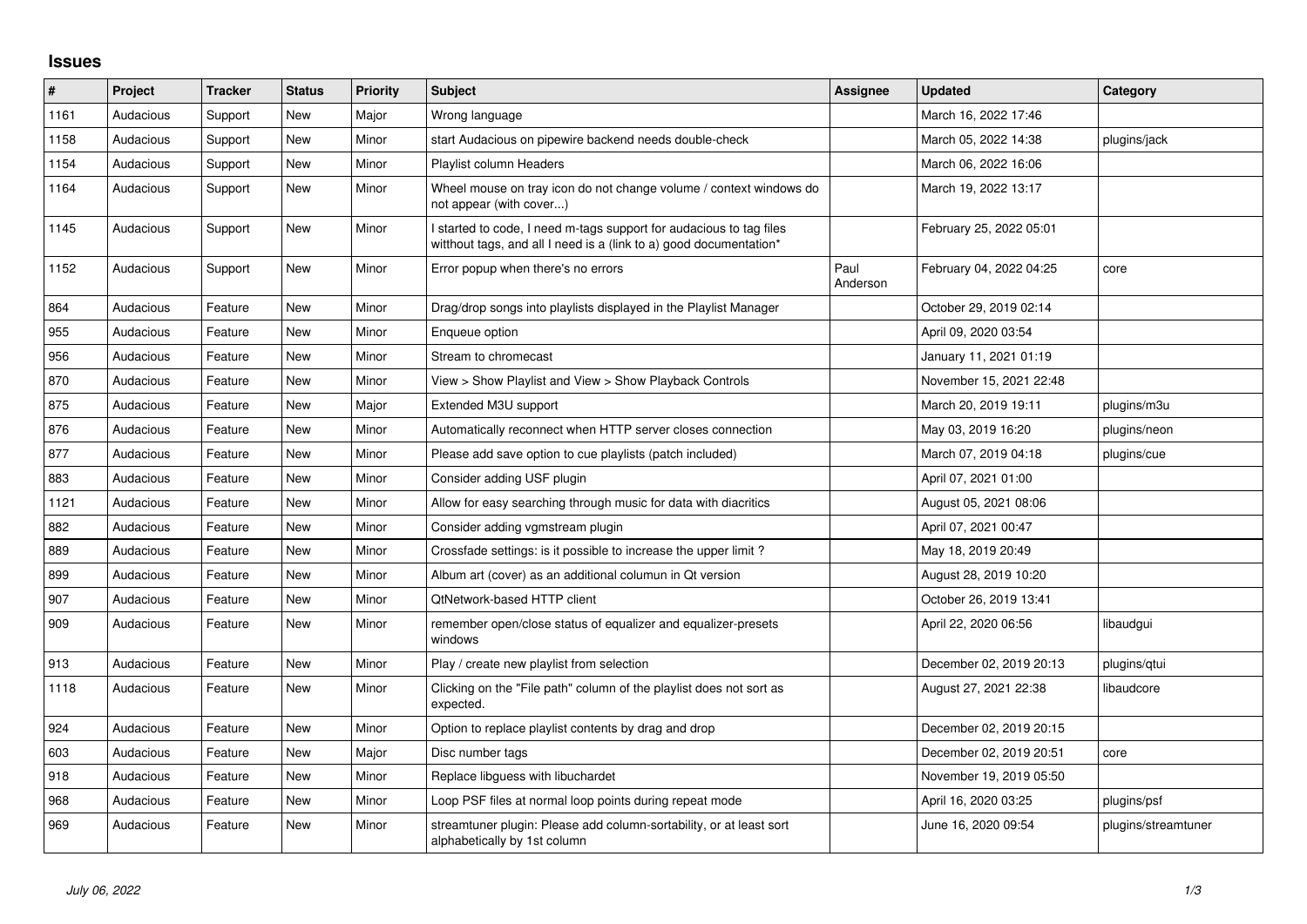## **Issues**

| $\sharp$ | Project   | <b>Tracker</b> | <b>Status</b> | <b>Priority</b> | Subject                                                                                                                                   | <b>Assignee</b>  | <b>Updated</b>          | Category            |
|----------|-----------|----------------|---------------|-----------------|-------------------------------------------------------------------------------------------------------------------------------------------|------------------|-------------------------|---------------------|
| 1161     | Audacious | Support        | <b>New</b>    | Major           | Wrong language                                                                                                                            |                  | March 16, 2022 17:46    |                     |
| 1158     | Audacious | Support        | New           | Minor           | start Audacious on pipewire backend needs double-check                                                                                    |                  | March 05, 2022 14:38    | plugins/jack        |
| 1154     | Audacious | Support        | New           | Minor           | Playlist column Headers                                                                                                                   |                  | March 06, 2022 16:06    |                     |
| 1164     | Audacious | Support        | New           | Minor           | Wheel mouse on tray icon do not change volume / context windows do<br>not appear (with cover)                                             |                  | March 19, 2022 13:17    |                     |
| 1145     | Audacious | Support        | New           | Minor           | I started to code, I need m-tags support for audacious to tag files<br>witthout tags, and all I need is a (link to a) good documentation* |                  | February 25, 2022 05:01 |                     |
| 1152     | Audacious | Support        | New           | Minor           | Error popup when there's no errors                                                                                                        | Paul<br>Anderson | February 04, 2022 04:25 | core                |
| 864      | Audacious | Feature        | New           | Minor           | Drag/drop songs into playlists displayed in the Playlist Manager                                                                          |                  | October 29, 2019 02:14  |                     |
| 955      | Audacious | Feature        | New           | Minor           | Enqueue option                                                                                                                            |                  | April 09, 2020 03:54    |                     |
| 956      | Audacious | Feature        | <b>New</b>    | Minor           | Stream to chromecast                                                                                                                      |                  | January 11, 2021 01:19  |                     |
| 870      | Audacious | Feature        | New           | Minor           | View > Show Playlist and View > Show Playback Controls                                                                                    |                  | November 15, 2021 22:48 |                     |
| 875      | Audacious | Feature        | New           | Major           | Extended M3U support                                                                                                                      |                  | March 20, 2019 19:11    | plugins/m3u         |
| 876      | Audacious | Feature        | New           | Minor           | Automatically reconnect when HTTP server closes connection                                                                                |                  | May 03, 2019 16:20      | plugins/neon        |
| 877      | Audacious | Feature        | New           | Minor           | Please add save option to cue playlists (patch included)                                                                                  |                  | March 07, 2019 04:18    | plugins/cue         |
| 883      | Audacious | Feature        | <b>New</b>    | Minor           | Consider adding USF plugin                                                                                                                |                  | April 07, 2021 01:00    |                     |
| 1121     | Audacious | Feature        | New           | Minor           | Allow for easy searching through music for data with diacritics                                                                           |                  | August 05, 2021 08:06   |                     |
| 882      | Audacious | Feature        | <b>New</b>    | Minor           | Consider adding vgmstream plugin                                                                                                          |                  | April 07, 2021 00:47    |                     |
| 889      | Audacious | Feature        | New           | Minor           | Crossfade settings: is it possible to increase the upper limit?                                                                           |                  | May 18, 2019 20:49      |                     |
| 899      | Audacious | Feature        | <b>New</b>    | Minor           | Album art (cover) as an additional columun in Qt version                                                                                  |                  | August 28, 2019 10:20   |                     |
| 907      | Audacious | Feature        | New           | Minor           | QtNetwork-based HTTP client                                                                                                               |                  | October 26, 2019 13:41  |                     |
| 909      | Audacious | Feature        | New           | Minor           | remember open/close status of equalizer and equalizer-presets<br>windows                                                                  |                  | April 22, 2020 06:56    | libaudgui           |
| 913      | Audacious | Feature        | New           | Minor           | Play / create new playlist from selection                                                                                                 |                  | December 02, 2019 20:13 | plugins/gtui        |
| 1118     | Audacious | Feature        | New           | Minor           | Clicking on the "File path" column of the playlist does not sort as<br>expected.                                                          |                  | August 27, 2021 22:38   | libaudcore          |
| 924      | Audacious | Feature        | <b>New</b>    | Minor           | Option to replace playlist contents by drag and drop                                                                                      |                  | December 02, 2019 20:15 |                     |
| 603      | Audacious | Feature        | New           | Major           | Disc number tags                                                                                                                          |                  | December 02, 2019 20:51 | core                |
| 918      | Audacious | Feature        | <b>New</b>    | Minor           | Replace libguess with libuchardet                                                                                                         |                  | November 19, 2019 05:50 |                     |
| 968      | Audacious | Feature        | New           | Minor           | Loop PSF files at normal loop points during repeat mode                                                                                   |                  | April 16, 2020 03:25    | plugins/psf         |
| 969      | Audacious | Feature        | <b>New</b>    | Minor           | streamtuner plugin: Please add column-sortability, or at least sort<br>alphabetically by 1st column                                       |                  | June 16, 2020 09:54     | plugins/streamtuner |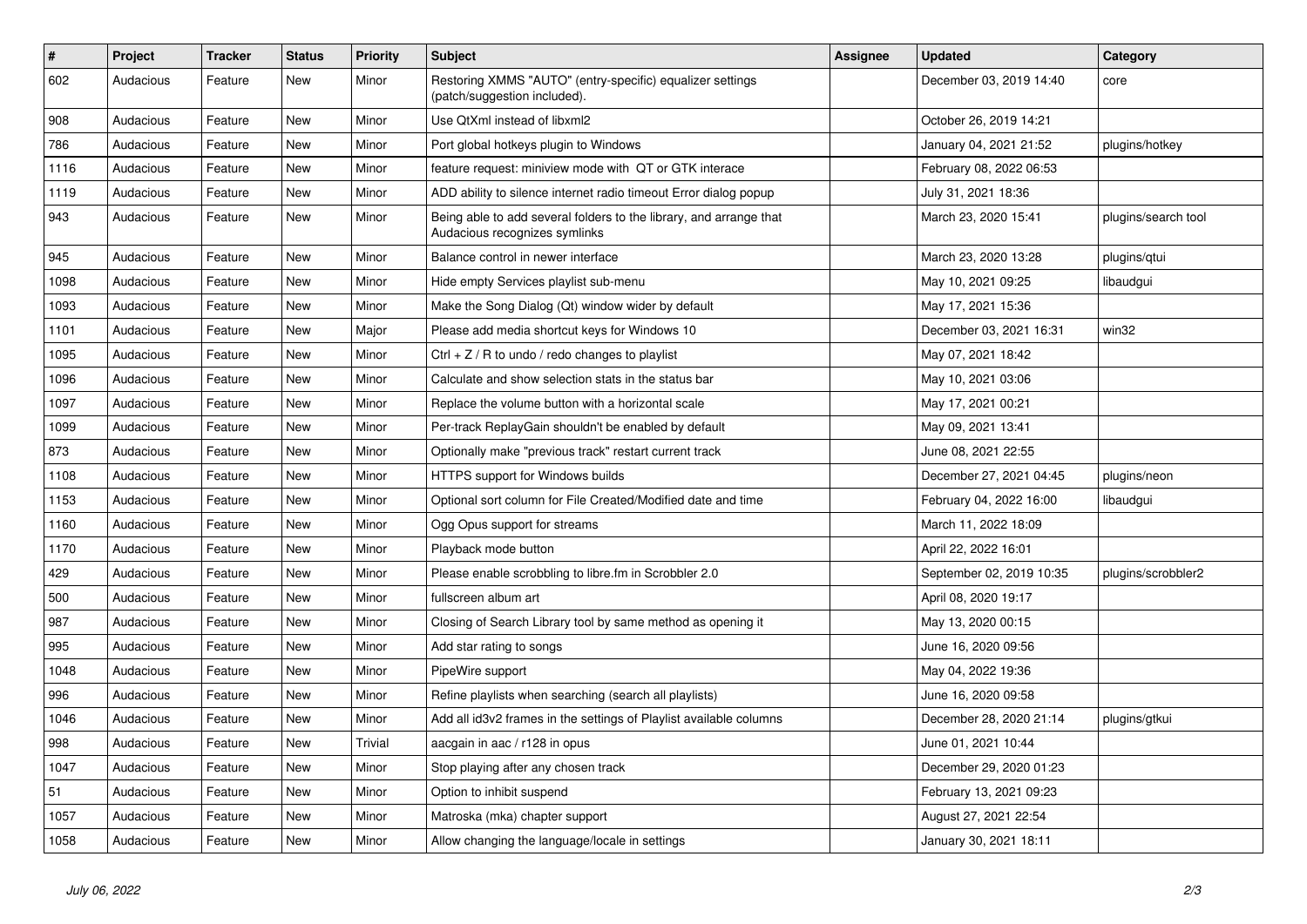| $\vert$ # | Project   | <b>Tracker</b> | <b>Status</b> | <b>Priority</b> | <b>Subject</b>                                                                                      | <b>Assignee</b> | <b>Updated</b>           | Category            |
|-----------|-----------|----------------|---------------|-----------------|-----------------------------------------------------------------------------------------------------|-----------------|--------------------------|---------------------|
| 602       | Audacious | Feature        | <b>New</b>    | Minor           | Restoring XMMS "AUTO" (entry-specific) equalizer settings<br>(patch/suggestion included).           |                 | December 03, 2019 14:40  | core                |
| 908       | Audacious | Feature        | <b>New</b>    | Minor           | Use QtXml instead of libxml2                                                                        |                 | October 26, 2019 14:21   |                     |
| 786       | Audacious | Feature        | <b>New</b>    | Minor           | Port global hotkeys plugin to Windows                                                               |                 | January 04, 2021 21:52   | plugins/hotkey      |
| 1116      | Audacious | Feature        | New           | Minor           | feature request: miniview mode with QT or GTK interace                                              |                 | February 08, 2022 06:53  |                     |
| 1119      | Audacious | Feature        | New           | Minor           | ADD ability to silence internet radio timeout Error dialog popup                                    |                 | July 31, 2021 18:36      |                     |
| 943       | Audacious | Feature        | New           | Minor           | Being able to add several folders to the library, and arrange that<br>Audacious recognizes symlinks |                 | March 23, 2020 15:41     | plugins/search tool |
| 945       | Audacious | Feature        | <b>New</b>    | Minor           | Balance control in newer interface                                                                  |                 | March 23, 2020 13:28     | plugins/gtui        |
| 1098      | Audacious | Feature        | <b>New</b>    | Minor           | Hide empty Services playlist sub-menu                                                               |                 | May 10, 2021 09:25       | libaudgui           |
| 1093      | Audacious | Feature        | New           | Minor           | Make the Song Dialog (Qt) window wider by default                                                   |                 | May 17, 2021 15:36       |                     |
| 1101      | Audacious | Feature        | <b>New</b>    | Major           | Please add media shortcut keys for Windows 10                                                       |                 | December 03, 2021 16:31  | win32               |
| 1095      | Audacious | Feature        | <b>New</b>    | Minor           | Ctrl $+$ Z / R to undo / redo changes to playlist                                                   |                 | May 07, 2021 18:42       |                     |
| 1096      | Audacious | Feature        | New           | Minor           | Calculate and show selection stats in the status bar                                                |                 | May 10, 2021 03:06       |                     |
| 1097      | Audacious | Feature        | New           | Minor           | Replace the volume button with a horizontal scale                                                   |                 | May 17, 2021 00:21       |                     |
| 1099      | Audacious | Feature        | New           | Minor           | Per-track ReplayGain shouldn't be enabled by default                                                |                 | May 09, 2021 13:41       |                     |
| 873       | Audacious | Feature        | <b>New</b>    | Minor           | Optionally make "previous track" restart current track                                              |                 | June 08, 2021 22:55      |                     |
| 1108      | Audacious | Feature        | <b>New</b>    | Minor           | HTTPS support for Windows builds                                                                    |                 | December 27, 2021 04:45  | plugins/neon        |
| 1153      | Audacious | Feature        | New           | Minor           | Optional sort column for File Created/Modified date and time                                        |                 | February 04, 2022 16:00  | libaudgui           |
| 1160      | Audacious | Feature        | <b>New</b>    | Minor           | Ogg Opus support for streams                                                                        |                 | March 11, 2022 18:09     |                     |
| 1170      | Audacious | Feature        | <b>New</b>    | Minor           | Playback mode button                                                                                |                 | April 22, 2022 16:01     |                     |
| 429       | Audacious | Feature        | <b>New</b>    | Minor           | Please enable scrobbling to libre.fm in Scrobbler 2.0                                               |                 | September 02, 2019 10:35 | plugins/scrobbler2  |
| 500       | Audacious | Feature        | <b>New</b>    | Minor           | fullscreen album art                                                                                |                 | April 08, 2020 19:17     |                     |
| 987       | Audacious | Feature        | <b>New</b>    | Minor           | Closing of Search Library tool by same method as opening it                                         |                 | May 13, 2020 00:15       |                     |
| 995       | Audacious | Feature        | <b>New</b>    | Minor           | Add star rating to songs                                                                            |                 | June 16, 2020 09:56      |                     |
| 1048      | Audacious | Feature        | <b>New</b>    | Minor           | PipeWire support                                                                                    |                 | May 04, 2022 19:36       |                     |
| 996       | Audacious | Feature        | <b>New</b>    | Minor           | Refine playlists when searching (search all playlists)                                              |                 | June 16, 2020 09:58      |                     |
| 1046      | Audacious | Feature        | <b>New</b>    | Minor           | Add all id3v2 frames in the settings of Playlist available columns                                  |                 | December 28, 2020 21:14  | plugins/gtkui       |
| 998       | Audacious | Feature        | <b>New</b>    | Trivial         | aacgain in aac / r128 in opus                                                                       |                 | June 01, 2021 10:44      |                     |
| 1047      | Audacious | Feature        | New           | Minor           | Stop playing after any chosen track                                                                 |                 | December 29, 2020 01:23  |                     |
| 51        | Audacious | Feature        | <b>New</b>    | Minor           | Option to inhibit suspend                                                                           |                 | February 13, 2021 09:23  |                     |
| 1057      | Audacious | Feature        | <b>New</b>    | Minor           | Matroska (mka) chapter support                                                                      |                 | August 27, 2021 22:54    |                     |
| 1058      | Audacious | Feature        | <b>New</b>    | Minor           | Allow changing the language/locale in settings                                                      |                 | January 30, 2021 18:11   |                     |